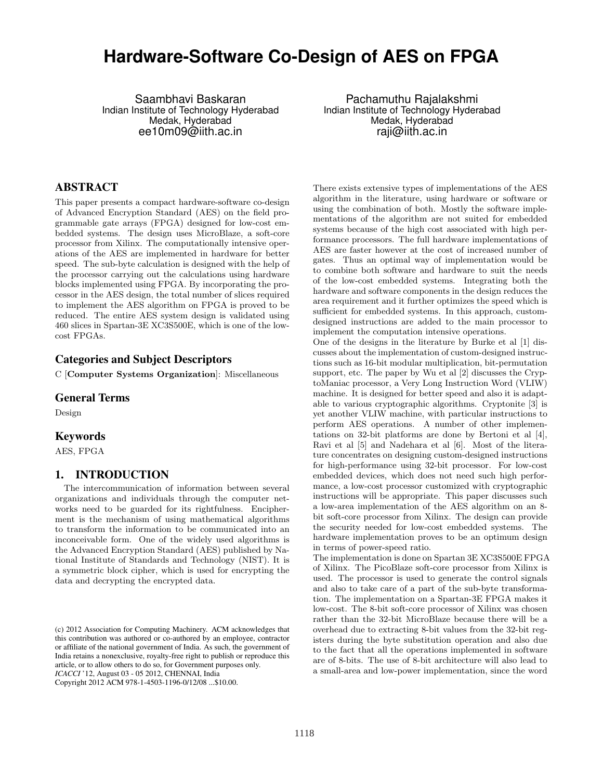# **Hardware-Software Co-Design of AES on FPGA**

Saambhavi Baskaran Indian Institute of Technology Hyderabad Medak, Hyderabad ee10m09@iith.ac.in

Pachamuthu Rajalakshmi Indian Institute of Technology Hyderabad Medak, Hyderabad raji@iith.ac.in

# ABSTRACT

This paper presents a compact hardware-software co-design of Advanced Encryption Standard (AES) on the field programmable gate arrays (FPGA) designed for low-cost embedded systems. The design uses MicroBlaze, a soft-core processor from Xilinx. The computationally intensive operations of the AES are implemented in hardware for better speed. The sub-byte calculation is designed with the help of the processor carrying out the calculations using hardware blocks implemented using FPGA. By incorporating the processor in the AES design, the total number of slices required to implement the AES algorithm on FPGA is proved to be reduced. The entire AES system design is validated using 460 slices in Spartan-3E XC3S500E, which is one of the lowcost FPGAs.

## Categories and Subject Descriptors

C [**Computer Systems Organization**]: Miscellaneous

#### General Terms

Design

#### Keywords

AES, FPGA

## 1. INTRODUCTION

The intercommunication of information between several organizations and individuals through the computer networks need to be guarded for its rightfulness. Encipherment is the mechanism of using mathematical algorithms to transform the information to be communicated into an inconceivable form. One of the widely used algorithms is the Advanced Encryption Standard (AES) published by National Institute of Standards and Technology (NIST). It is a symmetric block cipher, which is used for encrypting the data and decrypting the encrypted data.

There exists extensive types of implementations of the AES algorithm in the literature, using hardware or software or using the combination of both. Mostly the software implementations of the algorithm are not suited for embedded systems because of the high cost associated with high performance processors. The full hardware implementations of AES are faster however at the cost of increased number of gates. Thus an optimal way of implementation would be to combine both software and hardware to suit the needs of the low-cost embedded systems. Integrating both the hardware and software components in the design reduces the area requirement and it further optimizes the speed which is sufficient for embedded systems. In this approach, customdesigned instructions are added to the main processor to implement the computation intensive operations.

One of the designs in the literature by Burke et al [1] discusses about the implementation of custom-designed instructions such as 16-bit modular multiplication, bit-permutation support, etc. The paper by Wu et al [2] discusses the CryptoManiac processor, a Very Long Instruction Word (VLIW) machine. It is designed for better speed and also it is adaptable to various cryptographic algorithms. Cryptonite [3] is yet another VLIW machine, with particular instructions to perform AES operations. A number of other implementations on 32-bit platforms are done by Bertoni et al [4], Ravi et al [5] and Nadehara et al [6]. Most of the literature concentrates on designing custom-designed instructions for high-performance using 32-bit processor. For low-cost embedded devices, which does not need such high performance, a low-cost processor customized with cryptographic instructions will be appropriate. This paper discusses such a low-area implementation of the AES algorithm on an 8 bit soft-core processor from Xilinx. The design can provide the security needed for low-cost embedded systems. The hardware implementation proves to be an optimum design in terms of power-speed ratio.

The implementation is done on Spartan 3E XC3S500E FPGA of Xilinx. The PicoBlaze soft-core processor from Xilinx is used. The processor is used to generate the control signals and also to take care of a part of the sub-byte transformation. The implementation on a Spartan-3E FPGA makes it low-cost. The 8-bit soft-core processor of Xilinx was chosen rather than the 32-bit MicroBlaze because there will be a overhead due to extracting 8-bit values from the 32-bit registers during the byte substitution operation and also due to the fact that all the operations implemented in software are of 8-bits. The use of 8-bit architecture will also lead to a small-area and low-power implementation, since the word

<sup>(</sup>c) 2012 Association for Computing Machinery. ACM acknowledges that this contribution was authored or co-authored by an employee, contractor or affiliate of the national government of India. As such, the government of India retains a nonexclusive, royalty-free right to publish or reproduce this article, or to allow others to do so, for Government purposes only. *ICACCI* '12, August 03 - 05 2012, CHENNAI, India

Copyright 2012 ACM 978-1-4503-1196-0/12/08 ...\$10.00.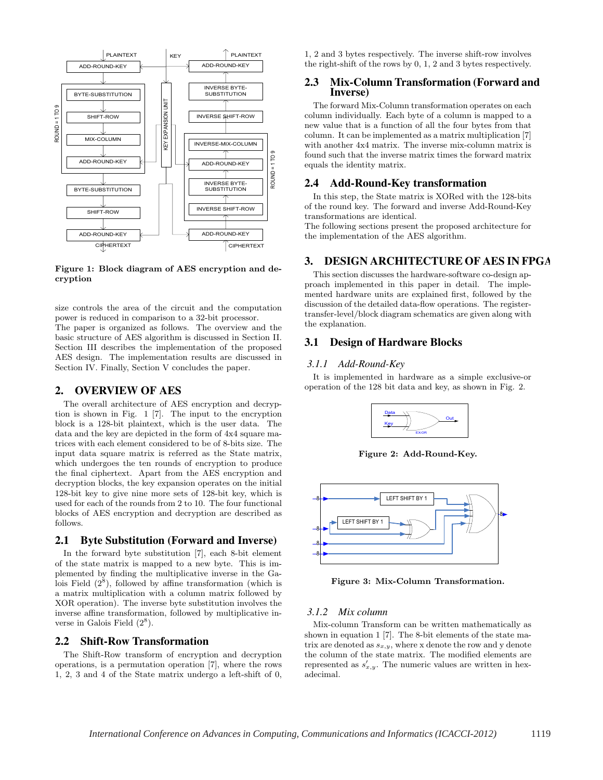

**Figure 1: Block diagram of AES encryption and decryption**

size controls the area of the circuit and the computation power is reduced in comparison to a 32-bit processor. The paper is organized as follows. The overview and the basic structure of AES algorithm is discussed in Section II. Section III describes the implementation of the proposed AES design. The implementation results are discussed in Section IV. Finally, Section V concludes the paper.

## 2. OVERVIEW OF AES

The overall architecture of AES encryption and decryption is shown in Fig. 1 [7]. The input to the encryption block is a 128-bit plaintext, which is the user data. The data and the key are depicted in the form of 4x4 square matrices with each element considered to be of 8-bits size. The input data square matrix is referred as the State matrix, which undergoes the ten rounds of encryption to produce the final ciphertext. Apart from the AES encryption and decryption blocks, the key expansion operates on the initial 128-bit key to give nine more sets of 128-bit key, which is used for each of the rounds from 2 to 10. The four functional blocks of AES encryption and decryption are described as follows.

## 2.1 Byte Substitution (Forward and Inverse)

In the forward byte substitution [7], each 8-bit element of the state matrix is mapped to a new byte. This is implemented by finding the multiplicative inverse in the Galois Field  $(2^8)$ , followed by affine transformation (which is a matrix multiplication with a column matrix followed by XOR operation). The inverse byte substitution involves the inverse affine transformation, followed by multiplicative inverse in Galois Field  $(2^8)$ .

#### 2.2 Shift-Row Transformation

The Shift-Row transform of encryption and decryption operations, is a permutation operation [7], where the rows 1, 2, 3 and 4 of the State matrix undergo a left-shift of 0, 1, 2 and 3 bytes respectively. The inverse shift-row involves the right-shift of the rows by 0, 1, 2 and 3 bytes respectively.

#### 2.3 Mix-Column Transformation (Forward and Inverse)

The forward Mix-Column transformation operates on each column individually. Each byte of a column is mapped to a new value that is a function of all the four bytes from that column. It can be implemented as a matrix multiplication [7] with another 4x4 matrix. The inverse mix-column matrix is found such that the inverse matrix times the forward matrix equals the identity matrix.

## 2.4 Add-Round-Key transformation

In this step, the State matrix is XORed with the 128-bits of the round key. The forward and inverse Add-Round-Key transformations are identical.

The following sections present the proposed architecture for the implementation of the AES algorithm.

## 3. DESIGN ARCHITECTURE OF AES IN FPGA

This section discusses the hardware-software co-design approach implemented in this paper in detail. The implemented hardware units are explained first, followed by the discussion of the detailed data-flow operations. The registertransfer-level/block diagram schematics are given along with the explanation.

## 3.1 Design of Hardware Blocks

#### *3.1.1 Add-Round-Key*

It is implemented in hardware as a simple exclusive-or operation of the 128 bit data and key, as shown in Fig. 2.



**Figure 2: Add-Round-Key.**



**Figure 3: Mix-Column Transformation.**

## *3.1.2 Mix column*

Mix-column Transform can be written mathematically as shown in equation 1 [7]. The 8-bit elements of the state matrix are denoted as  $s_{x,y}$ , where x denote the row and y denote the column of the state matrix. The modified elements are represented as  $s'_{x,y}$ . The numeric values are written in hexadecimal.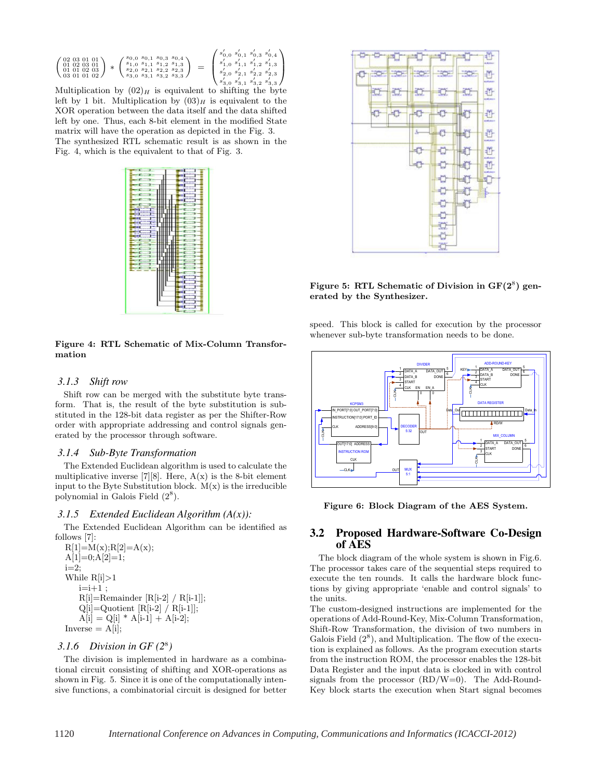$$
\begin{pmatrix} 02 & 03 & 01 & 01 \\ 01 & 02 & 03 & 01 \\ 01 & 01 & 02 & 03 \\ 03 & 01 & 01 & 02 \end{pmatrix} * \begin{pmatrix} s_{0,0} & s_{0,1} & s_{0,3} & s_{0,4} \\ s_{1,0} & s_{1,1} & s_{1,2} & s_{1,3} \\ s_{2,0} & s_{2,1} & s_{2,2} & s_{2,3} \\ s_{3,0} & s_{3,1} & s_{3,2} & s_{3,3} \end{pmatrix} = \begin{pmatrix} s'_{0,0} & s'_{0,1} & s'_{0,3} & s'_{0,4} \\ s'_{1,0} & s'_{1,1} & s'_{1,2} & s'_{1,3} \\ s'_{2,0} & s'_{2,1} & s'_{2,2} & s'_{2,3} \\ s'_{3,0} & s'_{3,1} & s'_{3,2} & s'_{3,3} \end{pmatrix}
$$

Nus of order  $\begin{cases} s_{3,0} & s_{3,1} & s_{3,2} & s_{3,3} \end{cases}$ <br>Multiplication by  $(02)_H$  is equivalent to shifting the byte left by 1 bit. Multiplication by  $(03)_H$  is equivalent to the XOR operation between the data itself and the data shifted left by one. Thus, each 8-bit element in the modified State matrix will have the operation as depicted in the Fig. 3. The synthesized RTL schematic result is as shown in the Fig. 4, which is the equivalent to that of Fig. 3.



**Figure 4: RTL Schematic of Mix-Column Transformation**

#### *3.1.3 Shift row*

Shift row can be merged with the substitute byte transform. That is, the result of the byte substitution is substituted in the 128-bit data register as per the Shifter-Row order with appropriate addressing and control signals generated by the processor through software.

#### *3.1.4 Sub-Byte Transformation*

The Extended Euclidean algorithm is used to calculate the multiplicative inverse [7][8]. Here,  $A(x)$  is the 8-bit element input to the Byte Substitution block.  $M(x)$  is the irreducible polynomial in Galois Field  $(2^8)$ .

#### *3.1.5 Extended Euclidean Algorithm (A(x)):*

The Extended Euclidean Algorithm can be identified as follows [7]:

 $R[1]=M(x); R[2]=A(x);$  $A[1]=0;A[2]=1;$ i=2; While  $R[i] > 1$  $i=i+1;$ R[i]=Remainder [R[i-2] / R[i-1]];  $Q[i]=Q$ uotient  $[R[i-2] / R[i-1]]$ ;  $A[i] = Q[i] * A[i-1] + A[i-2];$  $Inverse = A[i];$ 

## *3.1.6 Division in GF (2*<sup>8</sup>*)*

The division is implemented in hardware as a combinational circuit consisting of shifting and XOR-operations as shown in Fig. 5. Since it is one of the computationally intensive functions, a combinatorial circuit is designed for better



**Figure 5: RTL Schematic of Division in GF(2**<sup>8</sup>**) generated by the Synthesizer.**

speed. This block is called for execution by the processor whenever sub-byte transformation needs to be done.



**Figure 6: Block Diagram of the AES System.**

#### 3.2 Proposed Hardware-Software Co-Design of AES

The block diagram of the whole system is shown in Fig.6. The processor takes care of the sequential steps required to execute the ten rounds. It calls the hardware block functions by giving appropriate 'enable and control signals' to the units.

The custom-designed instructions are implemented for the operations of Add-Round-Key, Mix-Column Transformation, Shift-Row Transformation, the division of two numbers in Galois Field  $(2^8)$ , and Multiplication. The flow of the execution is explained as follows. As the program execution starts from the instruction ROM, the processor enables the 128-bit Data Register and the input data is clocked in with control signals from the processor (RD/W=0). The Add-Round-Key block starts the execution when Start signal becomes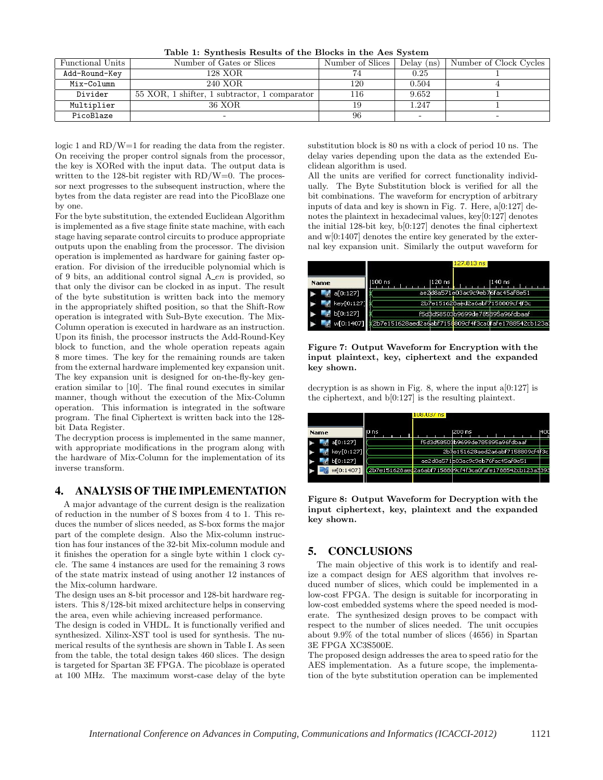|  |  |  |  |  | Table 1: Synthesis Results of the Blocks in the Aes System |
|--|--|--|--|--|------------------------------------------------------------|
|--|--|--|--|--|------------------------------------------------------------|

| Functional Units | Number of Gates or Slices                     | Number of Slices | Delay $(ns)$ | Number of Clock Cycles |
|------------------|-----------------------------------------------|------------------|--------------|------------------------|
| Add-Round-Key    | 128 XOR                                       |                  | 0.25         |                        |
| Mix-Column       | 240 XOR                                       | 120              | 0.504        |                        |
| Divider          | 55 XOR, 1 shifter, 1 subtractor, 1 comparator | 116              | 9.652        |                        |
| Multiplier       | 36 XOR                                        |                  | 1.247        |                        |
| PicoBlaze        |                                               | 96               |              |                        |

logic 1 and RD/W=1 for reading the data from the register. On receiving the proper control signals from the processor, the key is XORed with the input data. The output data is written to the 128-bit register with RD/W=0. The processor next progresses to the subsequent instruction, where the bytes from the data register are read into the PicoBlaze one by one.

For the byte substitution, the extended Euclidean Algorithm is implemented as a five stage finite state machine, with each stage having separate control circuits to produce appropriate outputs upon the enabling from the processor. The division operation is implemented as hardware for gaining faster operation. For division of the irreducible polynomial which is of 9 bits, an additional control signal  $A_{\text{e}}$  is provided, so that only the divisor can be clocked in as input. The result of the byte substitution is written back into the memory in the appropriately shifted position, so that the Shift-Row operation is integrated with Sub-Byte execution. The Mix-Column operation is executed in hardware as an instruction. Upon its finish, the processor instructs the Add-Round-Key block to function, and the whole operation repeats again 8 more times. The key for the remaining rounds are taken from the external hardware implemented key expansion unit. The key expansion unit is designed for on-the-fly-key generation similar to [10]. The final round executes in similar manner, though without the execution of the Mix-Column operation. This information is integrated in the software program. The final Ciphertext is written back into the 128 bit Data Register.

The decryption process is implemented in the same manner, with appropriate modifications in the program along with the hardware of Mix-Column for the implementation of its inverse transform.

#### 4. ANALYSIS OF THE IMPLEMENTATION

A major advantage of the current design is the realization of reduction in the number of S boxes from 4 to 1. This reduces the number of slices needed, as S-box forms the major part of the complete design. Also the Mix-column instruction has four instances of the 32-bit Mix-column module and it finishes the operation for a single byte within 1 clock cycle. The same 4 instances are used for the remaining 3 rows of the state matrix instead of using another 12 instances of the Mix-column hardware.

The design uses an 8-bit processor and 128-bit hardware registers. This 8/128-bit mixed architecture helps in conserving the area, even while achieving increased performance.

The design is coded in VHDL. It is functionally verified and synthesized. Xilinx-XST tool is used for synthesis. The numerical results of the synthesis are shown in Table I. As seen from the table, the total design takes 460 slices. The design is targeted for Spartan 3E FPGA. The picoblaze is operated at 100 MHz. The maximum worst-case delay of the byte substitution block is 80 ns with a clock of period 10 ns. The delay varies depending upon the data as the extended Euclidean algorithm is used.

All the units are verified for correct functionality individually. The Byte Substitution block is verified for all the bit combinations. The waveform for encryption of arbitrary inputs of data and key is shown in Fig. 7. Here, a[0:127] denotes the plaintext in hexadecimal values, key[0:127] denotes the initial 128-bit key, b[0:127] denotes the final ciphertext and w[0:1407] denotes the entire key generated by the external key expansion unit. Similarly the output waveform for

|             | 127.813 ns                                                        |
|-------------|-------------------------------------------------------------------|
| <b>Name</b> | 100 ns<br>l120 ns.<br>1140 ns                                     |
| a[0:127]    | ae2d8a571e03ac9c9eb76fac45af8e51                                  |
| key[0:127]  | 2b7e151628aed2a6abf7158809cf4f3c                                  |
| b[0:127]    | f5d\$d58503b9699de785b95a96fdbaaf                                 |
| w[0:1407]   | 2b7e151628aed2a6abf7158809cf4f3ca0 <mark>fafe1788542cb123a</mark> |

**Figure 7: Output Waveform for Encryption with the input plaintext, key, ciphertext and the expanded key shown.**

decryption is as shown in Fig. 8, where the input  $a[0:127]$  is the ciphertext, and b[0:127] is the resulting plaintext.



**Figure 8: Output Waveform for Decryption with the input ciphertext, key, plaintext and the expanded key shown.**

# 5. CONCLUSIONS

The main objective of this work is to identify and realize a compact design for AES algorithm that involves reduced number of slices, which could be implemented in a low-cost FPGA. The design is suitable for incorporating in low-cost embedded systems where the speed needed is moderate. The synthesized design proves to be compact with respect to the number of slices needed. The unit occupies about 9.9% of the total number of slices (4656) in Spartan 3E FPGA XC3S500E.

The proposed design addresses the area to speed ratio for the AES implementation. As a future scope, the implementation of the byte substitution operation can be implemented